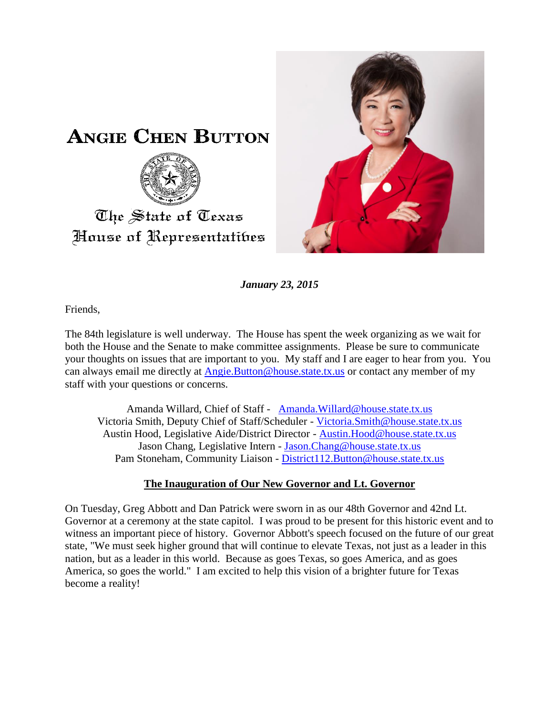



*January 23, 2015*

Friends,

The 84th legislature is well underway. The House has spent the week organizing as we wait for both the House and the Senate to make committee assignments. Please be sure to communicate your thoughts on issues that are important to you. My staff and I are eager to hear from you. You can always email me directly at **Angie.Button@house.state.tx.us** or contact any member of my staff with your questions or concerns.

Amanda Willard, Chief of Staff - [Amanda.Willard@house.state.tx.us](mailto:Amanda.Willard@house.state.tx.us) Victoria Smith, Deputy Chief of Staff/Scheduler - [Victoria.Smith@house.state.tx.us](mailto:Victoria.Smith@house.state.tx.us) Austin Hood, Legislative Aide/District Director - [Austin.Hood@house.state.tx.us](mailto:Austin.Hood@house.state.tx.us) Jason Chang, Legislative Intern - [Jason.Chang@house.state.tx.us](mailto:Jason.Chang@house.state.tx.us) Pam Stoneham, Community Liaison - [District112.Button@house.state.tx.us](mailto:District112.Button@house.state.tx.us)

## **The Inauguration of Our New Governor and Lt. Governor**

On Tuesday, Greg Abbott and Dan Patrick were sworn in as our 48th Governor and 42nd Lt. Governor at a ceremony at the state capitol. I was proud to be present for this historic event and to witness an important piece of history. Governor Abbott's speech focused on the future of our great state, "We must seek higher ground that will continue to elevate Texas, not just as a leader in this nation, but as a leader in this world. Because as goes Texas, so goes America, and as goes America, so goes the world." I am excited to help this vision of a brighter future for Texas become a reality!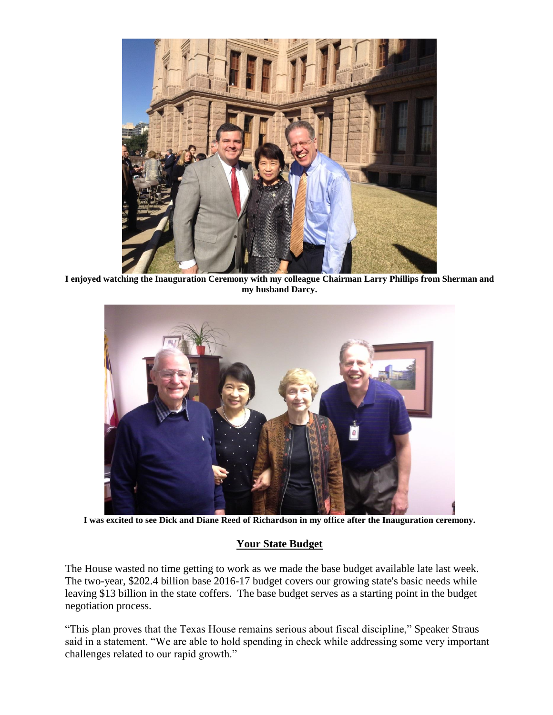

**I enjoyed watching the Inauguration Ceremony with my colleague Chairman Larry Phillips from Sherman and my husband Darcy.**



**I was excited to see Dick and Diane Reed of Richardson in my office after the Inauguration ceremony.** 

## **Your State Budget**

The House wasted no time getting to work as we made the base budget available late last week. The two-year, \$202.4 billion base 2016-17 budget covers our growing state's basic needs while leaving \$13 billion in the state coffers. The base budget serves as a starting point in the budget negotiation process.

"This plan proves that the Texas House remains serious about fiscal discipline," Speaker Straus said in a statement. "We are able to hold spending in check while addressing some very important challenges related to our rapid growth."